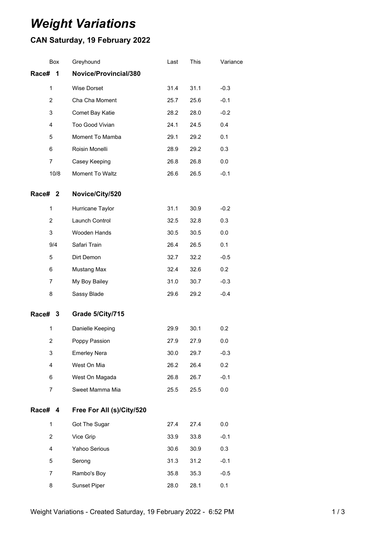# *Weight Variations*

# **CAN Saturday, 19 February 2022**

|         | Box            | Greyhound                 | Last | This | Variance |
|---------|----------------|---------------------------|------|------|----------|
| Race#   | 1              | Novice/Provincial/380     |      |      |          |
|         | $\mathbf{1}$   | Wise Dorset               | 31.4 | 31.1 | $-0.3$   |
|         | $\overline{c}$ | Cha Cha Moment            | 25.7 | 25.6 | $-0.1$   |
|         | 3              | Comet Bay Katie           | 28.2 | 28.0 | $-0.2$   |
|         | 4              | Too Good Vivian           | 24.1 | 24.5 | 0.4      |
|         | 5              | Moment To Mamba           | 29.1 | 29.2 | 0.1      |
|         | 6              | Roisin Monelli            | 28.9 | 29.2 | 0.3      |
|         | 7              | Casey Keeping             | 26.8 | 26.8 | 0.0      |
|         | 10/8           | Moment To Waltz           | 26.6 | 26.5 | $-0.1$   |
| Race# 2 |                | Novice/City/520           |      |      |          |
|         | 1              | Hurricane Taylor          | 31.1 | 30.9 | $-0.2$   |
|         | $\overline{2}$ | Launch Control            | 32.5 | 32.8 | 0.3      |
|         | 3              | Wooden Hands              | 30.5 | 30.5 | 0.0      |
|         | 9/4            | Safari Train              | 26.4 | 26.5 | 0.1      |
|         | 5              | Dirt Demon                | 32.7 | 32.2 | $-0.5$   |
|         | 6              | Mustang Max               | 32.4 | 32.6 | 0.2      |
|         | $\overline{7}$ | My Boy Bailey             | 31.0 | 30.7 | $-0.3$   |
|         | 8              | Sassy Blade               | 29.6 | 29.2 | $-0.4$   |
| Race# 3 |                | Grade 5/City/715          |      |      |          |
|         | $\mathbf{1}$   | Danielle Keeping          | 29.9 | 30.1 | 0.2      |
|         | $\overline{2}$ | Poppy Passion             | 27.9 | 27.9 | 0.0      |
|         | 3              | <b>Emerley Nera</b>       | 30.0 | 29.7 | $-0.3$   |
|         | 4              | West On Mia               | 26.2 | 26.4 | 0.2      |
|         | 6              | West On Magada            | 26.8 | 26.7 | $-0.1$   |
|         | 7              | Sweet Mamma Mia           | 25.5 | 25.5 | $0.0\,$  |
| Race# 4 |                | Free For All (s)/City/520 |      |      |          |
|         | $\mathbf{1}$   | Got The Sugar             | 27.4 | 27.4 | 0.0      |
|         | $\overline{c}$ | Vice Grip                 | 33.9 | 33.8 | $-0.1$   |
|         | 4              | Yahoo Serious             | 30.6 | 30.9 | 0.3      |
|         | 5              | Serong                    | 31.3 | 31.2 | $-0.1$   |
|         | 7              | Rambo's Boy               | 35.8 | 35.3 | $-0.5$   |
|         | 8              | Sunset Piper              | 28.0 | 28.1 | 0.1      |
|         |                |                           |      |      |          |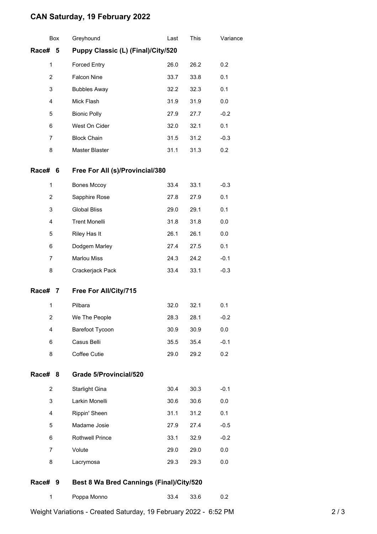## **CAN Saturday, 19 February 2022**

|                         | Box                                              | Greyhound                                | Last | This | Variance |  |
|-------------------------|--------------------------------------------------|------------------------------------------|------|------|----------|--|
|                         | Race#<br>Puppy Classic (L) (Final)/City/520<br>5 |                                          |      |      |          |  |
| $\mathbf{1}$            |                                                  | <b>Forced Entry</b>                      | 26.0 | 26.2 | 0.2      |  |
| $\overline{2}$          |                                                  | <b>Falcon Nine</b>                       | 33.7 | 33.8 | 0.1      |  |
| 3                       |                                                  | <b>Bubbles Away</b>                      | 32.2 | 32.3 | 0.1      |  |
| 4                       |                                                  | Mick Flash                               | 31.9 | 31.9 | 0.0      |  |
| 5                       |                                                  | <b>Bionic Polly</b>                      | 27.9 | 27.7 | $-0.2$   |  |
| 6                       |                                                  | West On Cider                            | 32.0 | 32.1 | 0.1      |  |
| 7                       |                                                  | <b>Block Chain</b>                       | 31.5 | 31.2 | $-0.3$   |  |
| 8                       |                                                  | Master Blaster                           | 31.1 | 31.3 | 0.2      |  |
| Race#                   | 6                                                | Free For All (s)/Provincial/380          |      |      |          |  |
| 1                       |                                                  | <b>Bones Mccoy</b>                       | 33.4 | 33.1 | $-0.3$   |  |
| 2                       |                                                  | Sapphire Rose                            | 27.8 | 27.9 | 0.1      |  |
| 3                       |                                                  | <b>Global Bliss</b>                      | 29.0 | 29.1 | 0.1      |  |
| 4                       |                                                  | <b>Trent Monelli</b>                     | 31.8 | 31.8 | 0.0      |  |
| 5                       |                                                  | Riley Has It                             | 26.1 | 26.1 | 0.0      |  |
| 6                       |                                                  | Dodgem Marley                            | 27.4 | 27.5 | 0.1      |  |
| $\overline{7}$          |                                                  | <b>Marlou Miss</b>                       | 24.3 | 24.2 | $-0.1$   |  |
| 8                       |                                                  | Crackerjack Pack                         | 33.4 | 33.1 | $-0.3$   |  |
| Race# 7                 |                                                  | Free For All/City/715                    |      |      |          |  |
| 1                       |                                                  | Pilbara                                  | 32.0 | 32.1 | 0.1      |  |
| $\overline{\mathbf{c}}$ |                                                  | We The People                            | 28.3 | 28.1 | $-0.2$   |  |
| 4                       |                                                  | Barefoot Tycoon                          | 30.9 | 30.9 | 0.0      |  |
| 6                       |                                                  | Casus Belli                              | 35.5 | 35.4 | $-0.1$   |  |
| 8                       |                                                  | Coffee Cutie                             | 29.0 | 29.2 | 0.2      |  |
| Race#                   | 8                                                | Grade 5/Provincial/520                   |      |      |          |  |
| 2                       |                                                  | <b>Starlight Gina</b>                    | 30.4 | 30.3 | $-0.1$   |  |
| 3                       |                                                  | Larkin Monelli                           | 30.6 | 30.6 | 0.0      |  |
| 4                       |                                                  | Rippin' Sheen                            | 31.1 | 31.2 | 0.1      |  |
| 5                       |                                                  | Madame Josie                             | 27.9 | 27.4 | $-0.5$   |  |
| 6                       |                                                  | <b>Rothwell Prince</b>                   | 33.1 | 32.9 | $-0.2$   |  |
| $\overline{7}$          |                                                  | Volute                                   | 29.0 | 29.0 | 0.0      |  |
| 8                       |                                                  | Lacrymosa                                | 29.3 | 29.3 | 0.0      |  |
| Race#                   | 9                                                | Best 8 Wa Bred Cannings (Final)/City/520 |      |      |          |  |
| 1                       |                                                  | Poppa Monno                              | 33.4 | 33.6 | 0.2      |  |

Weight Variations - Created Saturday, 19 February 2022 - 6:52 PM 2 / 3